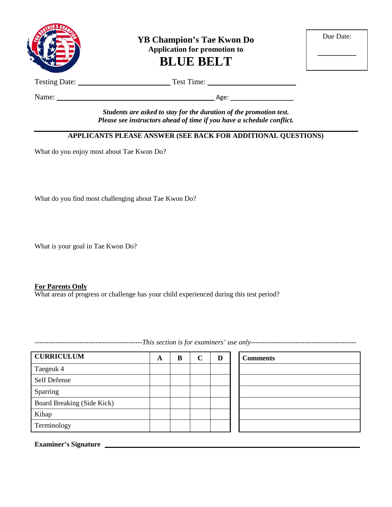

**YB Champion's Tae Kwon Do Application for promotion to BLUE BELT**

| Due Date: |  |
|-----------|--|
|           |  |

Testing Date: \_\_\_\_\_\_\_\_\_\_\_\_\_\_\_\_\_\_\_\_\_\_\_\_ Test Time: \_\_\_\_\_\_\_\_\_\_\_\_\_\_\_\_\_\_\_\_\_\_\_

Name: \_\_\_\_\_\_\_\_\_\_\_\_\_\_\_\_\_\_\_\_\_\_\_\_\_\_\_\_\_\_\_\_\_\_\_\_\_\_\_\_\_ Age: \_\_\_\_\_\_\_\_\_\_\_\_\_\_\_\_\_\_

*Students are asked to stay for the duration of the promotion test. Please see instructors ahead of time if you have a schedule conflict.*

#### **APPLICANTS PLEASE ANSWER (SEE BACK FOR ADDITIONAL QUESTIONS)**

What do you enjoy most about Tae Kwon Do?

What do you find most challenging about Tae Kwon Do?

What is your goal in Tae Kwon Do?

#### **For Parents Only**

What areas of progress or challenge has your child experienced during this test period?

**CURRICULUM A B C D Comments** Taegeuk 4 Self Defense Sparring Board Breaking (Side Kick) Kihap Terminology

**Examiner's Signature**

----------------------------------------------*This section is for examiners' use only---------------------------------------------*